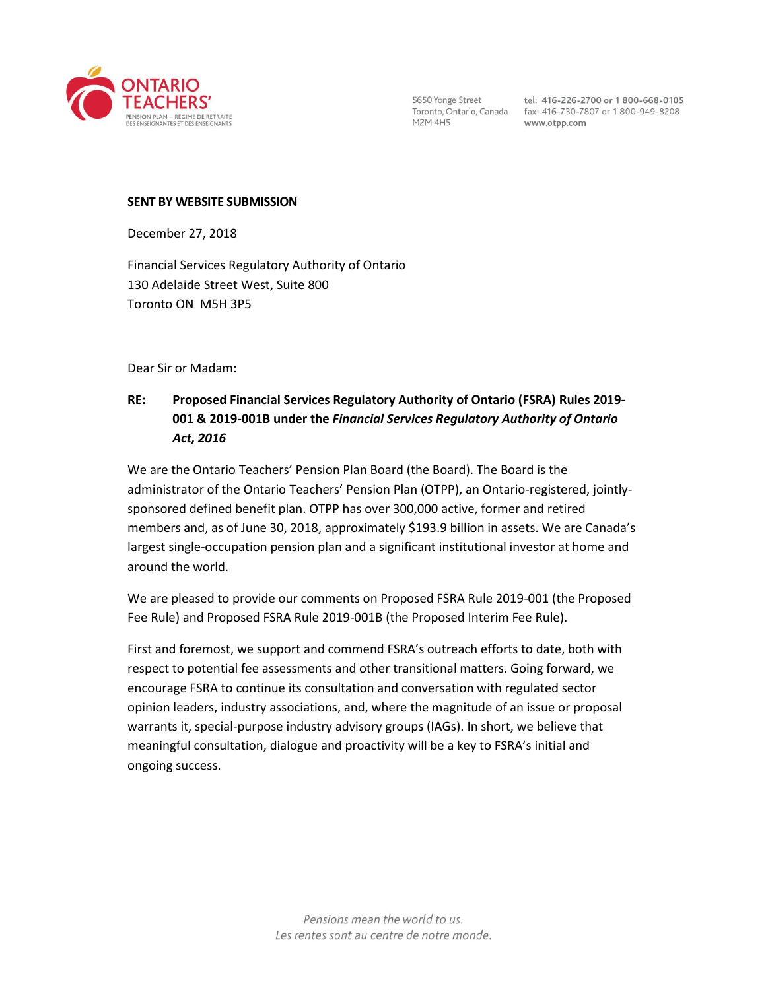

**M2M 4H5** 

5650 Yonge Street tel: 416-226-2700 or 1800-668-0105<br>Toronto, Ontario, Canada fax: 416-730-7807 or 1800-949-8208 www.otpp.com

#### **SENT BY WEBSITE SUBMISSION**

December 27, 2018

Financial Services Regulatory Authority of Ontario 130 Adelaide Street West, Suite 800 Toronto ON M5H 3P5

Dear Sir or Madam:

# **RE: Proposed Financial Services Regulatory Authority of Ontario (FSRA) Rules 2019- 001 & 2019-001B under the** *Financial Services Regulatory Authority of Ontario Act, 2016*

We are the Ontario Teachers' Pension Plan Board (the Board). The Board is the administrator of the Ontario Teachers' Pension Plan (OTPP), an Ontario-registered, jointlysponsored defined benefit plan. OTPP has over 300,000 active, former and retired members and, as of June 30, 2018, approximately \$193.9 billion in assets. We are Canada's largest single-occupation pension plan and a significant institutional investor at home and around the world.

We are pleased to provide our comments on Proposed FSRA Rule 2019-001 (the Proposed Fee Rule) and Proposed FSRA Rule 2019-001B (the Proposed Interim Fee Rule).

First and foremost, we support and commend FSRA's outreach efforts to date, both with respect to potential fee assessments and other transitional matters. Going forward, we encourage FSRA to continue its consultation and conversation with regulated sector opinion leaders, industry associations, and, where the magnitude of an issue or proposal warrants it, special-purpose industry advisory groups (IAGs). In short, we believe that meaningful consultation, dialogue and proactivity will be a key to FSRA's initial and ongoing success.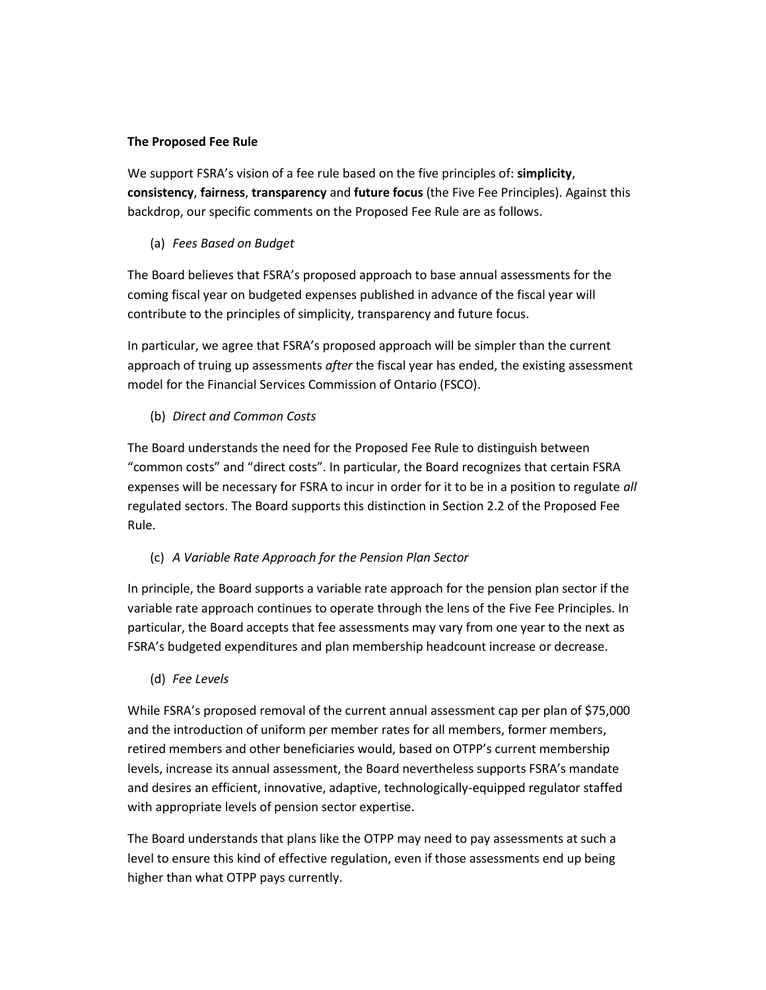### **The Proposed Fee Rule**

We support FSRA's vision of a fee rule based on the five principles of: **simplicity**, **consistency**, **fairness**, **transparency** and **future focus** (the Five Fee Principles). Against this backdrop, our specific comments on the Proposed Fee Rule are as follows.

## (a) *Fees Based on Budget*

The Board believes that FSRA's proposed approach to base annual assessments for the coming fiscal year on budgeted expenses published in advance of the fiscal year will contribute to the principles of simplicity, transparency and future focus.

In particular, we agree that FSRA's proposed approach will be simpler than the current approach of truing up assessments *after* the fiscal year has ended, the existing assessment model for the Financial Services Commission of Ontario (FSCO).

## (b) *Direct and Common Costs*

The Board understands the need for the Proposed Fee Rule to distinguish between "common costs" and "direct costs". In particular, the Board recognizes that certain FSRA expenses will be necessary for FSRA to incur in order for it to be in a position to regulate *all*  regulated sectors. The Board supports this distinction in Section 2.2 of the Proposed Fee Rule.

## (c) *A Variable Rate Approach for the Pension Plan Sector*

In principle, the Board supports a variable rate approach for the pension plan sector if the variable rate approach continues to operate through the lens of the Five Fee Principles. In particular, the Board accepts that fee assessments may vary from one year to the next as FSRA's budgeted expenditures and plan membership headcount increase or decrease.

(d) *Fee Levels*

While FSRA's proposed removal of the current annual assessment cap per plan of \$75,000 and the introduction of uniform per member rates for all members, former members, retired members and other beneficiaries would, based on OTPP's current membership levels, increase its annual assessment, the Board nevertheless supports FSRA's mandate and desires an efficient, innovative, adaptive, technologically-equipped regulator staffed with appropriate levels of pension sector expertise.

The Board understands that plans like the OTPP may need to pay assessments at such a level to ensure this kind of effective regulation, even if those assessments end up being higher than what OTPP pays currently.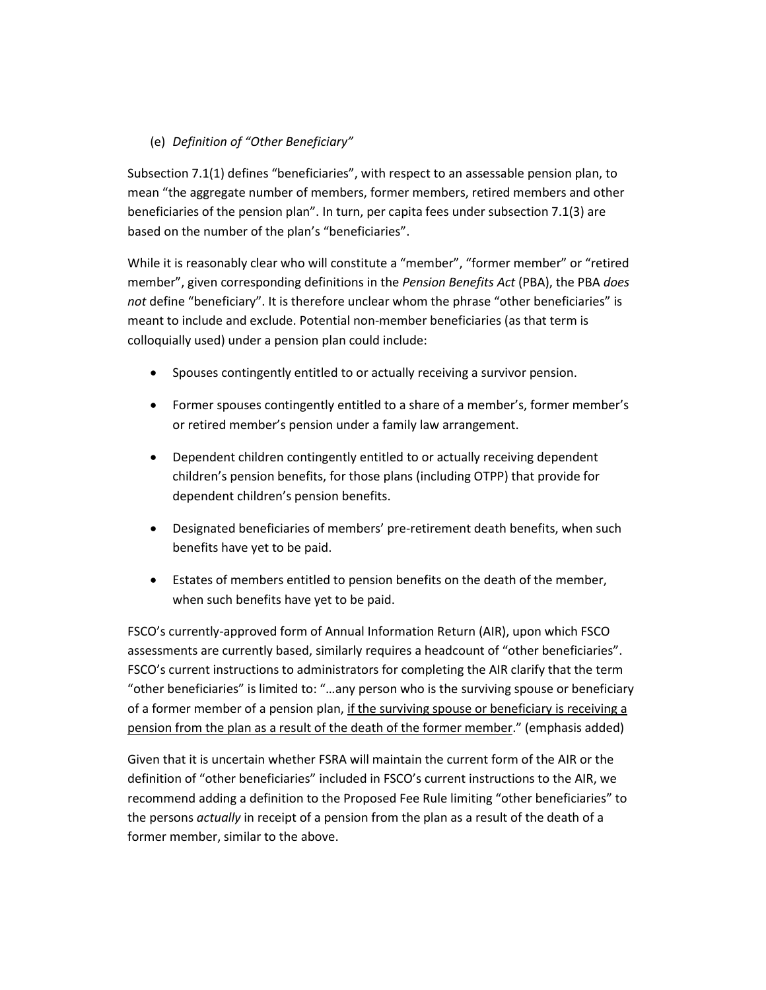## (e) *Definition of "Other Beneficiary"*

Subsection 7.1(1) defines "beneficiaries", with respect to an assessable pension plan, to mean "the aggregate number of members, former members, retired members and other beneficiaries of the pension plan". In turn, per capita fees under subsection 7.1(3) are based on the number of the plan's "beneficiaries".

While it is reasonably clear who will constitute a "member", "former member" or "retired member", given corresponding definitions in the *Pension Benefits Act* (PBA), the PBA *does not* define "beneficiary". It is therefore unclear whom the phrase "other beneficiaries" is meant to include and exclude. Potential non-member beneficiaries (as that term is colloquially used) under a pension plan could include:

- Spouses contingently entitled to or actually receiving a survivor pension.
- Former spouses contingently entitled to a share of a member's, former member's or retired member's pension under a family law arrangement.
- Dependent children contingently entitled to or actually receiving dependent children's pension benefits, for those plans (including OTPP) that provide for dependent children's pension benefits.
- Designated beneficiaries of members' pre-retirement death benefits, when such benefits have yet to be paid.
- Estates of members entitled to pension benefits on the death of the member, when such benefits have yet to be paid.

FSCO's currently-approved form of Annual Information Return (AIR), upon which FSCO assessments are currently based, similarly requires a headcount of "other beneficiaries". FSCO's current instructions to administrators for completing the AIR clarify that the term "other beneficiaries" is limited to: "…any person who is the surviving spouse or beneficiary of a former member of a pension plan, if the surviving spouse or beneficiary is receiving a pension from the plan as a result of the death of the former member." (emphasis added)

Given that it is uncertain whether FSRA will maintain the current form of the AIR or the definition of "other beneficiaries" included in FSCO's current instructions to the AIR, we recommend adding a definition to the Proposed Fee Rule limiting "other beneficiaries" to the persons *actually* in receipt of a pension from the plan as a result of the death of a former member, similar to the above.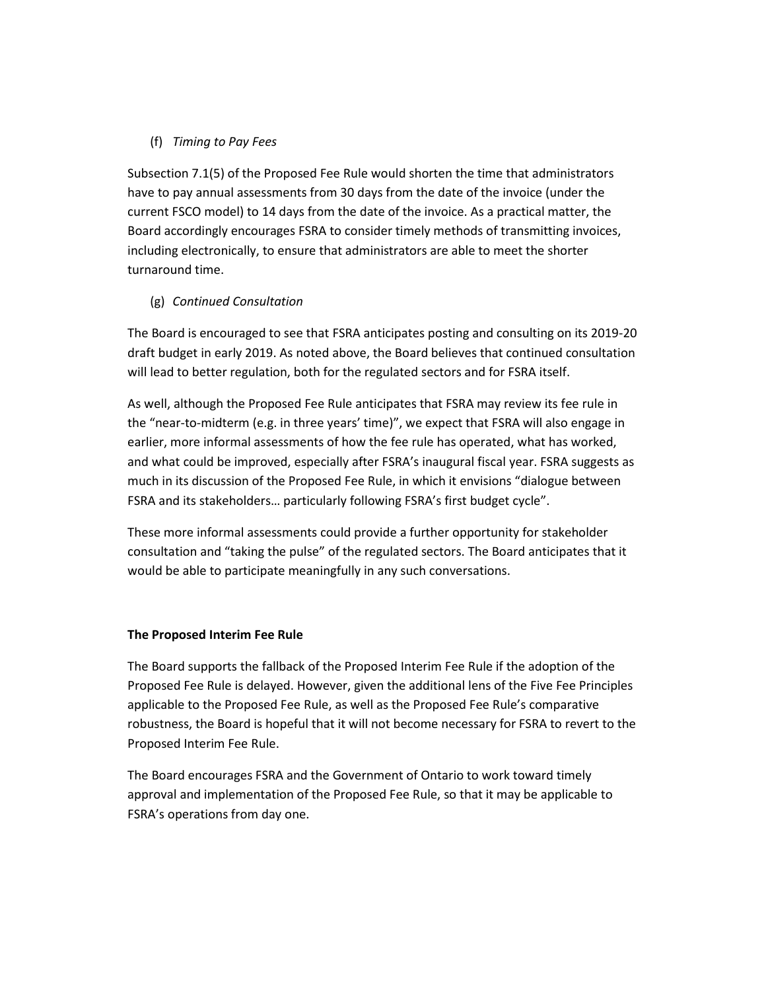### (f) *Timing to Pay Fees*

Subsection 7.1(5) of the Proposed Fee Rule would shorten the time that administrators have to pay annual assessments from 30 days from the date of the invoice (under the current FSCO model) to 14 days from the date of the invoice. As a practical matter, the Board accordingly encourages FSRA to consider timely methods of transmitting invoices, including electronically, to ensure that administrators are able to meet the shorter turnaround time.

## (g) *Continued Consultation*

The Board is encouraged to see that FSRA anticipates posting and consulting on its 2019-20 draft budget in early 2019. As noted above, the Board believes that continued consultation will lead to better regulation, both for the regulated sectors and for FSRA itself.

As well, although the Proposed Fee Rule anticipates that FSRA may review its fee rule in the "near-to-midterm (e.g. in three years' time)", we expect that FSRA will also engage in earlier, more informal assessments of how the fee rule has operated, what has worked, and what could be improved, especially after FSRA's inaugural fiscal year. FSRA suggests as much in its discussion of the Proposed Fee Rule, in which it envisions "dialogue between FSRA and its stakeholders… particularly following FSRA's first budget cycle".

These more informal assessments could provide a further opportunity for stakeholder consultation and "taking the pulse" of the regulated sectors. The Board anticipates that it would be able to participate meaningfully in any such conversations.

#### **The Proposed Interim Fee Rule**

The Board supports the fallback of the Proposed Interim Fee Rule if the adoption of the Proposed Fee Rule is delayed. However, given the additional lens of the Five Fee Principles applicable to the Proposed Fee Rule, as well as the Proposed Fee Rule's comparative robustness, the Board is hopeful that it will not become necessary for FSRA to revert to the Proposed Interim Fee Rule.

The Board encourages FSRA and the Government of Ontario to work toward timely approval and implementation of the Proposed Fee Rule, so that it may be applicable to FSRA's operations from day one.